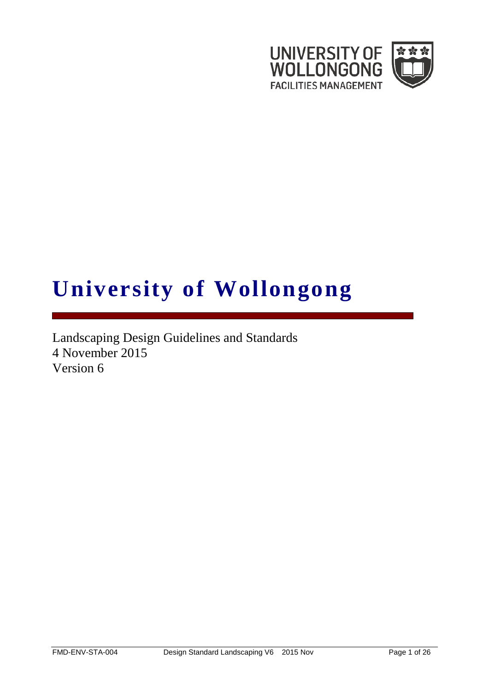

# **University of Wollongong**

Landscaping Design Guidelines and Standards 4 November 2015 Version 6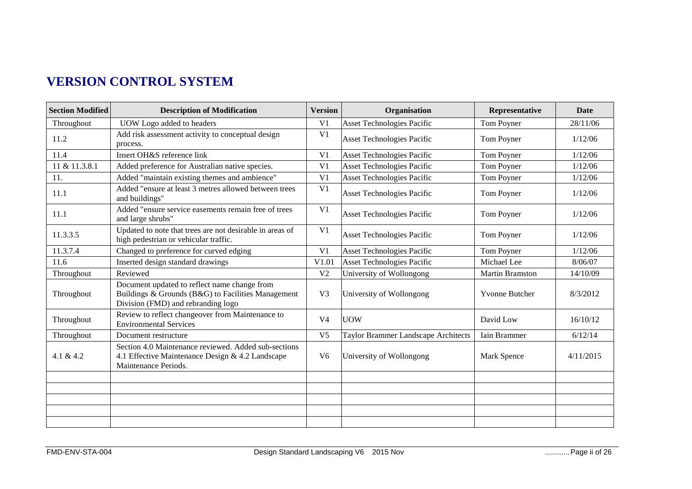# **VERSION CONTROL SYSTEM**

| <b>Section Modified</b> | <b>Description of Modification</b>                                                                                                       | <b>Version</b> | Organisation                               | Representative        | <b>Date</b> |
|-------------------------|------------------------------------------------------------------------------------------------------------------------------------------|----------------|--------------------------------------------|-----------------------|-------------|
| Throughout              | UOW Logo added to headers                                                                                                                |                | <b>Asset Technologies Pacific</b>          | Tom Poyner            | 28/11/06    |
| 11.2                    | Add risk assessment activity to conceptual design<br>process.                                                                            | V <sub>1</sub> | Asset Technologies Pacific                 | Tom Poyner            | 1/12/06     |
| 11.4                    | Insert OH&S reference link                                                                                                               | V <sub>1</sub> | <b>Asset Technologies Pacific</b>          | Tom Poyner            | 1/12/06     |
| 11 & 11.3.8.1           | Added preference for Australian native species.                                                                                          |                | <b>Asset Technologies Pacific</b>          | Tom Poyner            | 1/12/06     |
| 11.                     | Added "maintain existing themes and ambience"                                                                                            |                | <b>Asset Technologies Pacific</b>          | Tom Poyner            | 1/12/06     |
| 11.1                    | Added "ensure at least 3 metres allowed between trees<br>and buildings"                                                                  |                | Asset Technologies Pacific                 | Tom Poyner            | 1/12/06     |
| 11.1                    | Added "ensure service easements remain free of trees<br>and large shrubs"                                                                | V <sub>1</sub> | Asset Technologies Pacific                 | Tom Poyner            | 1/12/06     |
| 11.3.3.5                | Updated to note that trees are not desirable in areas of<br>high pedestrian or vehicular traffic.                                        | V <sub>1</sub> | Asset Technologies Pacific                 | Tom Poyner            | 1/12/06     |
| 11.3.7.4                | Changed to preference for curved edging                                                                                                  | V <sub>1</sub> | <b>Asset Technologies Pacific</b>          | Tom Poyner            | 1/12/06     |
| 11.6                    | Inserted design standard drawings                                                                                                        | V1.01          | Asset Technologies Pacific                 | Michael Lee           | 8/06/07     |
| Throughout              | Reviewed                                                                                                                                 | V <sub>2</sub> | University of Wollongong                   | Martin Bramston       | 14/10/09    |
| Throughout              | Document updated to reflect name change from<br>Buildings & Grounds (B&G) to Facilities Management<br>Division (FMD) and rebranding logo | V <sub>3</sub> | University of Wollongong                   | <b>Yvonne Butcher</b> | 8/3/2012    |
| Throughout              | Review to reflect changeover from Maintenance to<br><b>Environmental Services</b>                                                        | V <sub>4</sub> | <b>UOW</b>                                 | David Low             | 16/10/12    |
| Throughout              | Document restructure                                                                                                                     | V <sub>5</sub> | <b>Taylor Brammer Landscape Architects</b> | Iain Brammer          | 6/12/14     |
| 4.1 & 4.2               | Section 4.0 Maintenance reviewed. Added sub-sections<br>4.1 Effective Maintenance Design & 4.2 Landscape<br>Maintenance Periods.         | V <sub>6</sub> | University of Wollongong                   | Mark Spence           | 4/11/2015   |
|                         |                                                                                                                                          |                |                                            |                       |             |
|                         |                                                                                                                                          |                |                                            |                       |             |
|                         |                                                                                                                                          |                |                                            |                       |             |
|                         |                                                                                                                                          |                |                                            |                       |             |
|                         |                                                                                                                                          |                |                                            |                       |             |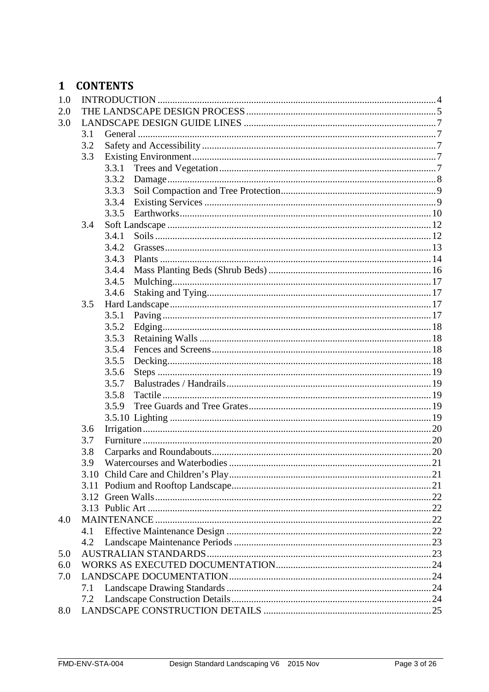## 1 CONTENTS

| 1.0 |     |       |  |  |
|-----|-----|-------|--|--|
| 2.0 |     |       |  |  |
| 3.0 |     |       |  |  |
|     | 3.1 |       |  |  |
|     | 3.2 |       |  |  |
|     | 3.3 |       |  |  |
|     |     | 3.3.1 |  |  |
|     |     | 3.3.2 |  |  |
|     |     | 3.3.3 |  |  |
|     |     | 3.3.4 |  |  |
|     |     | 3.3.5 |  |  |
|     | 3.4 |       |  |  |
|     |     | 3.4.1 |  |  |
|     |     | 3.4.2 |  |  |
|     |     | 3.4.3 |  |  |
|     |     | 3.4.4 |  |  |
|     |     | 3.4.5 |  |  |
|     |     | 3.4.6 |  |  |
|     | 3.5 |       |  |  |
|     |     | 3.5.1 |  |  |
|     |     | 3.5.2 |  |  |
|     |     | 3.5.3 |  |  |
|     |     | 3.5.4 |  |  |
|     |     | 3.5.5 |  |  |
|     |     | 3.5.6 |  |  |
|     |     | 3.5.7 |  |  |
|     |     | 3.5.8 |  |  |
|     |     | 3.5.9 |  |  |
|     |     |       |  |  |
|     | 3.6 |       |  |  |
|     | 3.7 |       |  |  |
|     | 3.8 |       |  |  |
|     | 3.9 |       |  |  |
|     |     |       |  |  |
|     |     |       |  |  |
|     |     |       |  |  |
|     |     |       |  |  |
| 4.0 |     |       |  |  |
|     | 4.1 |       |  |  |
|     | 4.2 |       |  |  |
| 5.0 |     |       |  |  |
| 6.0 |     |       |  |  |
| 7.0 |     |       |  |  |
|     | 7.1 |       |  |  |
|     | 7.2 |       |  |  |
| 8.0 |     |       |  |  |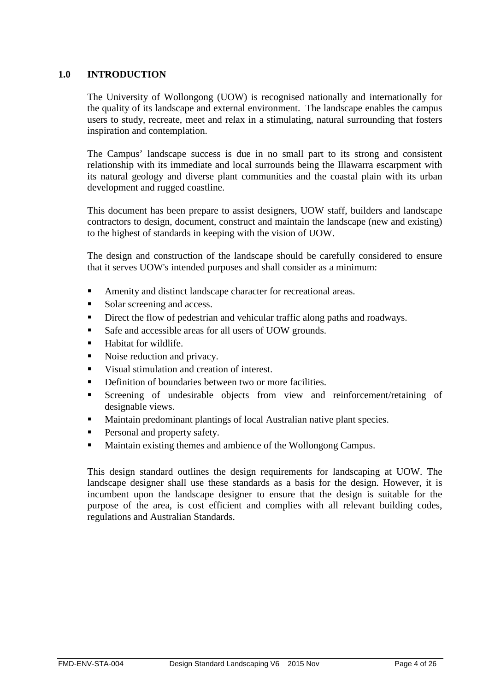## <span id="page-3-0"></span>**1.0 INTRODUCTION**

The University of Wollongong (UOW) is recognised nationally and internationally for the quality of its landscape and external environment. The landscape enables the campus users to study, recreate, meet and relax in a stimulating, natural surrounding that fosters inspiration and contemplation.

The Campus' landscape success is due in no small part to its strong and consistent relationship with its immediate and local surrounds being the Illawarra escarpment with its natural geology and diverse plant communities and the coastal plain with its urban development and rugged coastline.

This document has been prepare to assist designers, UOW staff, builders and landscape contractors to design, document, construct and maintain the landscape (new and existing) to the highest of standards in keeping with the vision of UOW.

The design and construction of the landscape should be carefully considered to ensure that it serves UOW's intended purposes and shall consider as a minimum:

- Amenity and distinct landscape character for recreational areas.
- Solar screening and access.
- Direct the flow of pedestrian and vehicular traffic along paths and roadways.
- Safe and accessible areas for all users of UOW grounds.
- **Habitat for wildlife.**
- Noise reduction and privacy.
- Visual stimulation and creation of interest.
- Definition of boundaries between two or more facilities.
- Screening of undesirable objects from view and reinforcement/retaining of designable views.
- Maintain predominant plantings of local Australian native plant species.
- Personal and property safety.
- **Maintain existing themes and ambience of the Wollongong Campus.**

This design standard outlines the design requirements for landscaping at UOW. The landscape designer shall use these standards as a basis for the design. However, it is incumbent upon the landscape designer to ensure that the design is suitable for the purpose of the area, is cost efficient and complies with all relevant building codes, regulations and Australian Standards.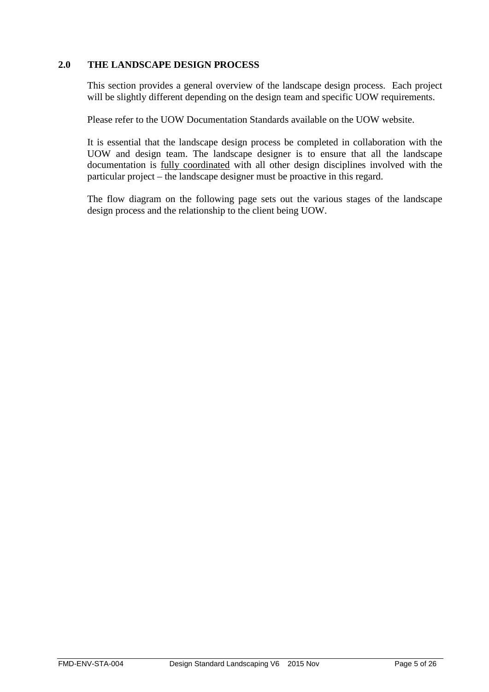## **2.0 THE LANDSCAPE DESIGN PROCESS**

<span id="page-4-0"></span>This section provides a general overview of the landscape design process. Each project will be slightly different depending on the design team and specific UOW requirements.

Please refer to the UOW Documentation Standards available on the UOW website.

It is essential that the landscape design process be completed in collaboration with the UOW and design team. The landscape designer is to ensure that all the landscape documentation is fully coordinated with all other design disciplines involved with the particular project – the landscape designer must be proactive in this regard.

The flow diagram on the following page sets out the various stages of the landscape design process and the relationship to the client being UOW.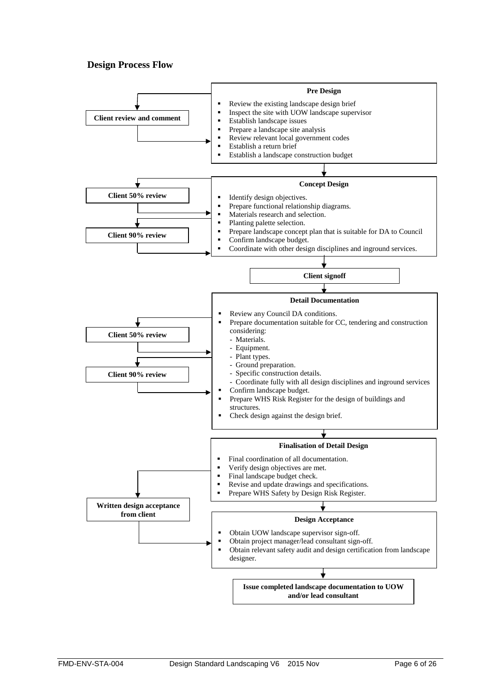## **Design Process Flow**

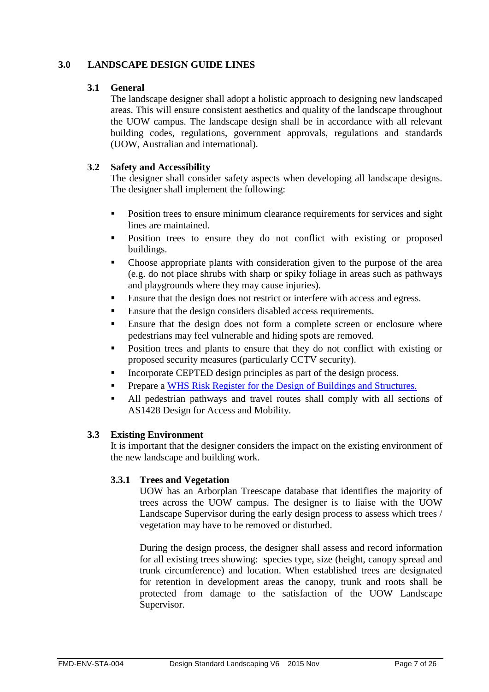## <span id="page-6-1"></span>**3.0 LANDSCAPE DESIGN GUIDE LINES**

## <span id="page-6-0"></span>**3.1 General**

The landscape designer shall adopt a holistic approach to designing new landscaped areas. This will ensure consistent aesthetics and quality of the landscape throughout the UOW campus. The landscape design shall be in accordance with all relevant building codes, regulations, government approvals, regulations and standards (UOW, Australian and international).

## <span id="page-6-2"></span>**3.2 Safety and Accessibility**

The designer shall consider safety aspects when developing all landscape designs. The designer shall implement the following:

- Position trees to ensure minimum clearance requirements for services and sight lines are maintained.
- Position trees to ensure they do not conflict with existing or proposed buildings.
- Choose appropriate plants with consideration given to the purpose of the area (e.g. do not place shrubs with sharp or spiky foliage in areas such as pathways and playgrounds where they may cause injuries).
- Ensure that the design does not restrict or interfere with access and egress.
- Ensure that the design considers disabled access requirements.
- **Ensure that the design does not form a complete screen or enclosure where** pedestrians may feel vulnerable and hiding spots are removed.
- **Position trees and plants to ensure that they do not conflict with existing or** proposed security measures (particularly CCTV security).
- Incorporate CEPTED design principles as part of the design process.
- **Prepare a [WHS Risk Register for the Design of Buildings and Structures.](http://staff.uow.edu.au/content/groups/public/@web/@ohs/documents/doc/uow108400.pdf)**
- All pedestrian pathways and travel routes shall comply with all sections of AS1428 Design for Access and Mobility.

## <span id="page-6-3"></span>**3.3 Existing Environment**

It is important that the designer considers the impact on the existing environment of the new landscape and building work.

## <span id="page-6-4"></span>**3.3.1 Trees and Vegetation**

UOW has an Arborplan Treescape database that identifies the majority of trees across the UOW campus. The designer is to liaise with the UOW Landscape Supervisor during the early design process to assess which trees / vegetation may have to be removed or disturbed.

During the design process, the designer shall assess and record information for all existing trees showing: species type, size (height, canopy spread and trunk circumference) and location. When established trees are designated for retention in development areas the canopy, trunk and roots shall be protected from damage to the satisfaction of the UOW Landscape Supervisor.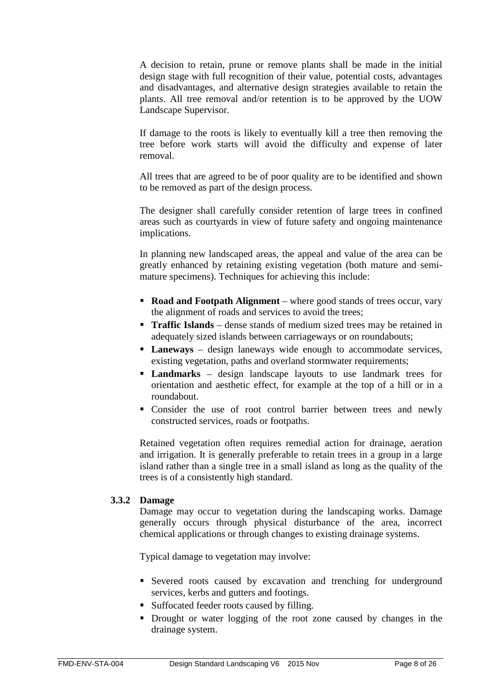A decision to retain, prune or remove plants shall be made in the initial design stage with full recognition of their value, potential costs, advantages and disadvantages, and alternative design strategies available to retain the plants. All tree removal and/or retention is to be approved by the UOW Landscape Supervisor.

If damage to the roots is likely to eventually kill a tree then removing the tree before work starts will avoid the difficulty and expense of later removal.

All trees that are agreed to be of poor quality are to be identified and shown to be removed as part of the design process.

The designer shall carefully consider retention of large trees in confined areas such as courtyards in view of future safety and ongoing maintenance implications.

In planning new landscaped areas, the appeal and value of the area can be greatly enhanced by retaining existing vegetation (both mature and semimature specimens). Techniques for achieving this include:

- **Road and Footpath Alignment** where good stands of trees occur, vary the alignment of roads and services to avoid the trees;
- **Traffic Islands** dense stands of medium sized trees may be retained in adequately sized islands between carriageways or on roundabouts;
- **Laneways** design laneways wide enough to accommodate services, existing vegetation, paths and overland stormwater requirements;
- **Landmarks** design landscape layouts to use landmark trees for orientation and aesthetic effect, for example at the top of a hill or in a roundabout.
- Consider the use of root control barrier between trees and newly constructed services, roads or footpaths.

Retained vegetation often requires remedial action for drainage, aeration and irrigation. It is generally preferable to retain trees in a group in a large island rather than a single tree in a small island as long as the quality of the trees is of a consistently high standard.

## <span id="page-7-0"></span>**3.3.2 Damage**

Damage may occur to vegetation during the landscaping works. Damage generally occurs through physical disturbance of the area, incorrect chemical applications or through changes to existing drainage systems.

Typical damage to vegetation may involve:

- Severed roots caused by excavation and trenching for underground services, kerbs and gutters and footings.
- Suffocated feeder roots caused by filling.
- Drought or water logging of the root zone caused by changes in the drainage system.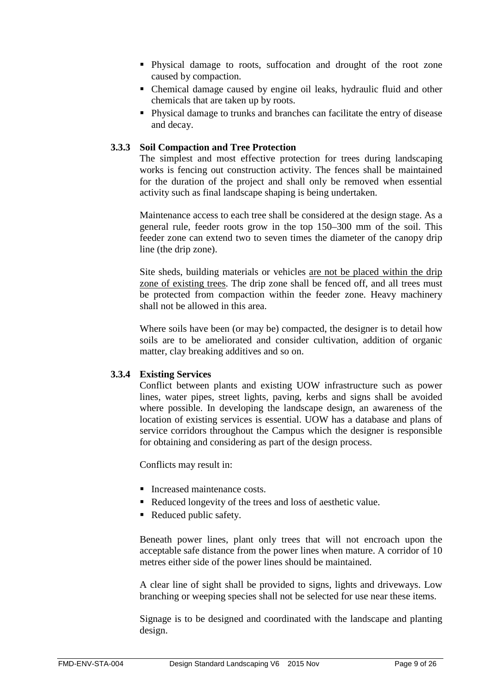- Physical damage to roots, suffocation and drought of the root zone caused by compaction.
- Chemical damage caused by engine oil leaks, hydraulic fluid and other chemicals that are taken up by roots.
- Physical damage to trunks and branches can facilitate the entry of disease and decay.

## <span id="page-8-0"></span>**3.3.3 Soil Compaction and Tree Protection**

The simplest and most effective protection for trees during landscaping works is fencing out construction activity. The fences shall be maintained for the duration of the project and shall only be removed when essential activity such as final landscape shaping is being undertaken.

Maintenance access to each tree shall be considered at the design stage. As a general rule, feeder roots grow in the top 150–300 mm of the soil. This feeder zone can extend two to seven times the diameter of the canopy drip line (the drip zone).

Site sheds, building materials or vehicles are not be placed within the drip zone of existing trees. The drip zone shall be fenced off, and all trees must be protected from compaction within the feeder zone. Heavy machinery shall not be allowed in this area.

Where soils have been (or may be) compacted, the designer is to detail how soils are to be ameliorated and consider cultivation, addition of organic matter, clay breaking additives and so on.

## <span id="page-8-1"></span>**3.3.4 Existing Services**

Conflict between plants and existing UOW infrastructure such as power lines, water pipes, street lights, paving, kerbs and signs shall be avoided where possible. In developing the landscape design, an awareness of the location of existing services is essential. UOW has a database and plans of service corridors throughout the Campus which the designer is responsible for obtaining and considering as part of the design process.

Conflicts may result in:

- Increased maintenance costs.
- Reduced longevity of the trees and loss of aesthetic value.
- Reduced public safety.

Beneath power lines, plant only trees that will not encroach upon the acceptable safe distance from the power lines when mature. A corridor of 10 metres either side of the power lines should be maintained.

A clear line of sight shall be provided to signs, lights and driveways. Low branching or weeping species shall not be selected for use near these items.

Signage is to be designed and coordinated with the landscape and planting design.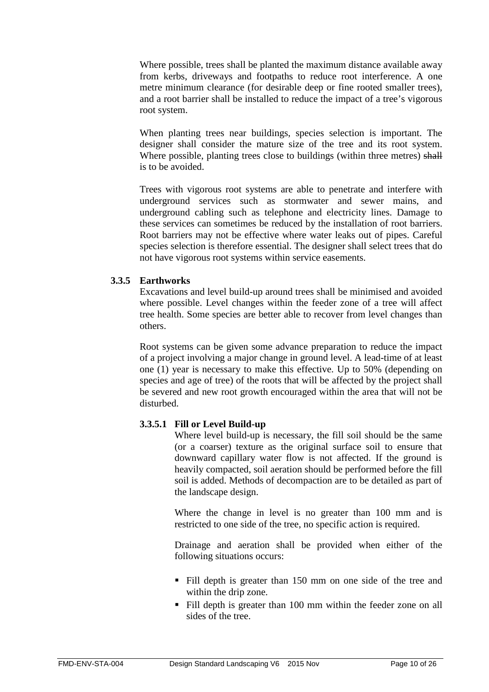Where possible, trees shall be planted the maximum distance available away from kerbs, driveways and footpaths to reduce root interference. A one metre minimum clearance (for desirable deep or fine rooted smaller trees), and a root barrier shall be installed to reduce the impact of a tree's vigorous root system.

When planting trees near buildings, species selection is important. The designer shall consider the mature size of the tree and its root system. Where possible, planting trees close to buildings (within three metres) shall is to be avoided.

Trees with vigorous root systems are able to penetrate and interfere with underground services such as stormwater and sewer mains, and underground cabling such as telephone and electricity lines. Damage to these services can sometimes be reduced by the installation of root barriers. Root barriers may not be effective where water leaks out of pipes. Careful species selection is therefore essential. The designer shall select trees that do not have vigorous root systems within service easements.

## <span id="page-9-0"></span>**3.3.5 Earthworks**

Excavations and level build-up around trees shall be minimised and avoided where possible. Level changes within the feeder zone of a tree will affect tree health. Some species are better able to recover from level changes than others.

Root systems can be given some advance preparation to reduce the impact of a project involving a major change in ground level. A lead-time of at least one (1) year is necessary to make this effective. Up to 50% (depending on species and age of tree) of the roots that will be affected by the project shall be severed and new root growth encouraged within the area that will not be disturbed.

## **3.3.5.1 Fill or Level Build-up**

Where level build-up is necessary, the fill soil should be the same (or a coarser) texture as the original surface soil to ensure that downward capillary water flow is not affected. If the ground is heavily compacted, soil aeration should be performed before the fill soil is added. Methods of decompaction are to be detailed as part of the landscape design.

Where the change in level is no greater than 100 mm and is restricted to one side of the tree, no specific action is required.

Drainage and aeration shall be provided when either of the following situations occurs:

- Fill depth is greater than 150 mm on one side of the tree and within the drip zone.
- Fill depth is greater than 100 mm within the feeder zone on all sides of the tree.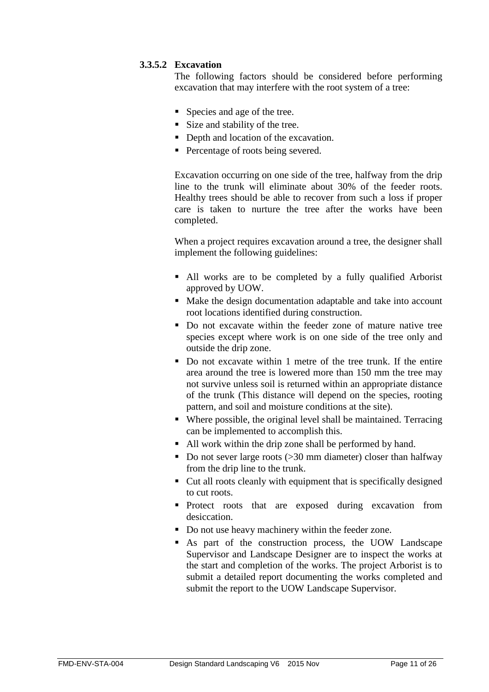## **3.3.5.2 Excavation**

The following factors should be considered before performing excavation that may interfere with the root system of a tree:

- Species and age of the tree.
- Size and stability of the tree.
- Depth and location of the excavation.
- Percentage of roots being severed.

Excavation occurring on one side of the tree, halfway from the drip line to the trunk will eliminate about 30% of the feeder roots. Healthy trees should be able to recover from such a loss if proper care is taken to nurture the tree after the works have been completed.

When a project requires excavation around a tree, the designer shall implement the following guidelines:

- All works are to be completed by a fully qualified Arborist approved by UOW.
- Make the design documentation adaptable and take into account root locations identified during construction.
- Do not excavate within the feeder zone of mature native tree species except where work is on one side of the tree only and outside the drip zone.
- Do not excavate within 1 metre of the tree trunk. If the entire area around the tree is lowered more than 150 mm the tree may not survive unless soil is returned within an appropriate distance of the trunk (This distance will depend on the species, rooting pattern, and soil and moisture conditions at the site).
- Where possible, the original level shall be maintained. Terracing can be implemented to accomplish this.
- All work within the drip zone shall be performed by hand.
- Do not sever large roots  $(>= 30 \text{ mm diameter})$  closer than halfway from the drip line to the trunk.
- Cut all roots cleanly with equipment that is specifically designed to cut roots.
- **Protect** roots that are exposed during excavation from desiccation.
- Do not use heavy machinery within the feeder zone.
- As part of the construction process, the UOW Landscape Supervisor and Landscape Designer are to inspect the works at the start and completion of the works. The project Arborist is to submit a detailed report documenting the works completed and submit the report to the UOW Landscape Supervisor.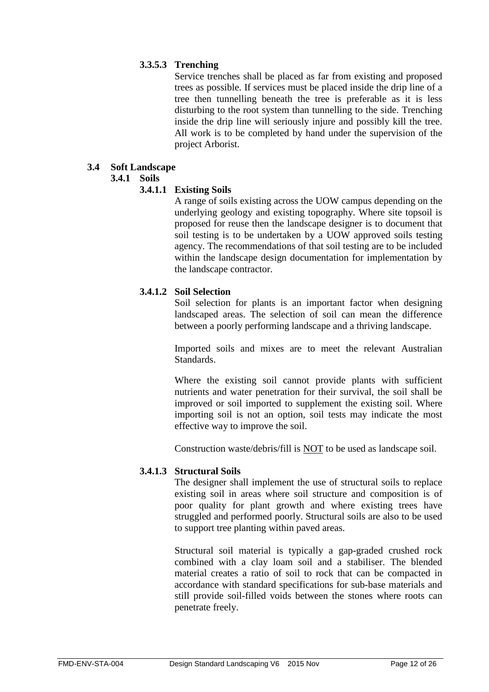## **3.3.5.3 Trenching**

Service trenches shall be placed as far from existing and proposed trees as possible. If services must be placed inside the drip line of a tree then tunnelling beneath the tree is preferable as it is less disturbing to the root system than tunnelling to the side. Trenching inside the drip line will seriously injure and possibly kill the tree. All work is to be completed by hand under the supervision of the project Arborist.

## <span id="page-11-1"></span><span id="page-11-0"></span>**3.4 Soft Landscape**

#### **3.4.1 Soils**

## **3.4.1.1 Existing Soils**

A range of soils existing across the UOW campus depending on the underlying geology and existing topography. Where site topsoil is proposed for reuse then the landscape designer is to document that soil testing is to be undertaken by a UOW approved soils testing agency. The recommendations of that soil testing are to be included within the landscape design documentation for implementation by the landscape contractor.

## **3.4.1.2 Soil Selection**

Soil selection for plants is an important factor when designing landscaped areas. The selection of soil can mean the difference between a poorly performing landscape and a thriving landscape.

Imported soils and mixes are to meet the relevant Australian Standards.

Where the existing soil cannot provide plants with sufficient nutrients and water penetration for their survival, the soil shall be improved or soil imported to supplement the existing soil. Where importing soil is not an option, soil tests may indicate the most effective way to improve the soil.

Construction waste/debris/fill is NOT to be used as landscape soil.

## **3.4.1.3 Structural Soils**

The designer shall implement the use of structural soils to replace existing soil in areas where soil structure and composition is of poor quality for plant growth and where existing trees have struggled and performed poorly. Structural soils are also to be used to support tree planting within paved areas.

Structural soil material is typically a gap-graded crushed rock combined with a clay loam soil and a stabiliser. The blended material creates a ratio of soil to rock that can be compacted in accordance with standard specifications for sub-base materials and still provide soil-filled voids between the stones where roots can penetrate freely.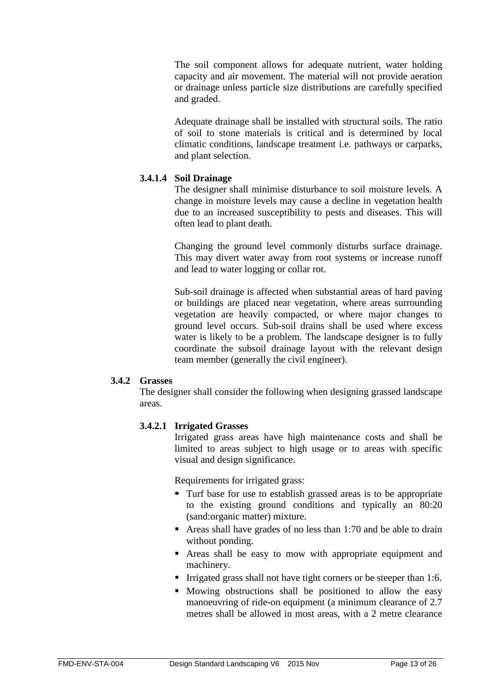The soil component allows for adequate nutrient, water holding capacity and air movement. The material will not provide aeration or drainage unless particle size distributions are carefully specified and graded.

Adequate drainage shall be installed with structural soils. The ratio of soil to stone materials is critical and is determined by local climatic conditions, landscape treatment i.e. pathways or carparks, and plant selection.

## **3.4.1.4 Soil Drainage**

The designer shall minimise disturbance to soil moisture levels. A change in moisture levels may cause a decline in vegetation health due to an increased susceptibility to pests and diseases. This will often lead to plant death.

Changing the ground level commonly disturbs surface drainage. This may divert water away from root systems or increase runoff and lead to water logging or collar rot.

Sub-soil drainage is affected when substantial areas of hard paving or buildings are placed near vegetation, where areas surrounding vegetation are heavily compacted, or where major changes to ground level occurs. Sub-soil drains shall be used where excess water is likely to be a problem. The landscape designer is to fully coordinate the subsoil drainage layout with the relevant design team member (generally the civil engineer).

## <span id="page-12-0"></span>**3.4.2 Grasses**

The designer shall consider the following when designing grassed landscape areas.

## **3.4.2.1 Irrigated Grasses**

Irrigated grass areas have high maintenance costs and shall be limited to areas subject to high usage or to areas with specific visual and design significance.

Requirements for irrigated grass:

- Turf base for use to establish grassed areas is to be appropriate to the existing ground conditions and typically an 80:20 (sand:organic matter) mixture.
- Areas shall have grades of no less than 1:70 and be able to drain without ponding.
- Areas shall be easy to mow with appropriate equipment and machinery.
- Irrigated grass shall not have tight corners or be steeper than 1:6.
- Mowing obstructions shall be positioned to allow the easy manoeuvring of ride-on equipment (a minimum clearance of 2.7 metres shall be allowed in most areas, with a 2 metre clearance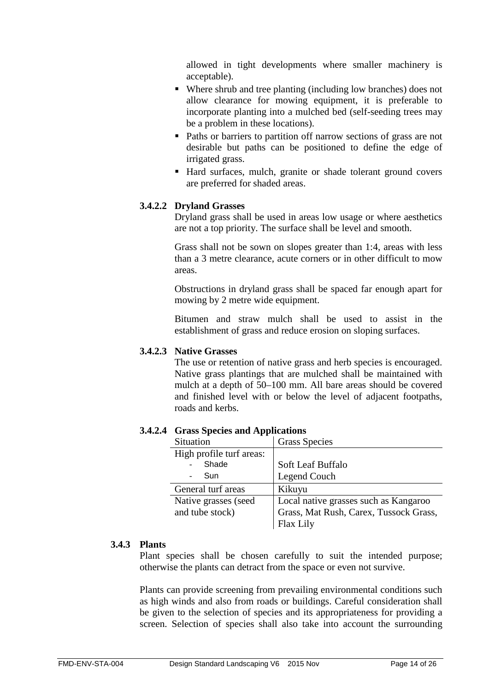allowed in tight developments where smaller machinery is acceptable).

- Where shrub and tree planting (including low branches) does not allow clearance for mowing equipment, it is preferable to incorporate planting into a mulched bed (self-seeding trees may be a problem in these locations).
- Paths or barriers to partition off narrow sections of grass are not desirable but paths can be positioned to define the edge of irrigated grass.
- Hard surfaces, mulch, granite or shade tolerant ground covers are preferred for shaded areas.

## **3.4.2.2 Dryland Grasses**

Dryland grass shall be used in areas low usage or where aesthetics are not a top priority. The surface shall be level and smooth.

Grass shall not be sown on slopes greater than 1:4, areas with less than a 3 metre clearance, acute corners or in other difficult to mow areas.

Obstructions in dryland grass shall be spaced far enough apart for mowing by 2 metre wide equipment.

Bitumen and straw mulch shall be used to assist in the establishment of grass and reduce erosion on sloping surfaces.

## **3.4.2.3 Native Grasses**

The use or retention of native grass and herb species is encouraged. Native grass plantings that are mulched shall be maintained with mulch at a depth of 50–100 mm. All bare areas should be covered and finished level with or below the level of adjacent footpaths, roads and kerbs.

#### Situation | Grass Species High profile turf areas: **Shade** - Sun Soft Leaf Buffalo Legend Couch General turf areas Kikuyu Native grasses (seed and tube stock) Local native grasses such as Kangaroo Grass, Mat Rush, Carex, Tussock Grass, Flax Lily

## **3.4.2.4 Grass Species and Applications**

#### <span id="page-13-0"></span>**3.4.3 Plants**

Plant species shall be chosen carefully to suit the intended purpose; otherwise the plants can detract from the space or even not survive.

Plants can provide screening from prevailing environmental conditions such as high winds and also from roads or buildings. Careful consideration shall be given to the selection of species and its appropriateness for providing a screen. Selection of species shall also take into account the surrounding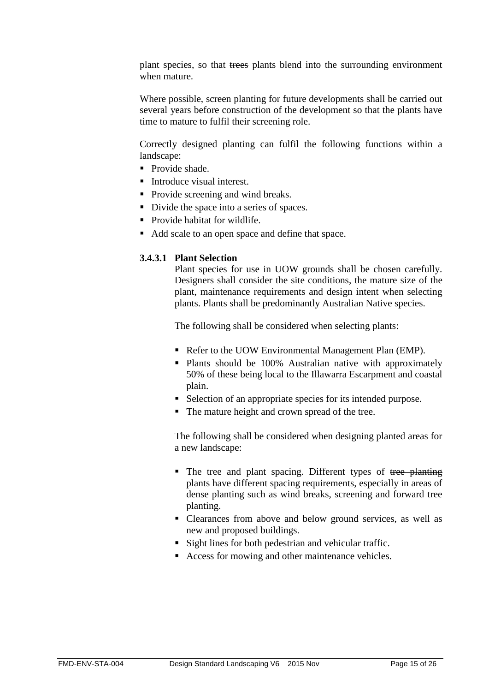plant species, so that trees plants blend into the surrounding environment when mature.

Where possible, screen planting for future developments shall be carried out several years before construction of the development so that the plants have time to mature to fulfil their screening role.

Correctly designed planting can fulfil the following functions within a landscape:

- **Provide shade.**
- Introduce visual interest.
- Provide screening and wind breaks.
- Divide the space into a series of spaces.
- Provide habitat for wildlife.
- Add scale to an open space and define that space.

## **3.4.3.1 Plant Selection**

Plant species for use in UOW grounds shall be chosen carefully. Designers shall consider the site conditions, the mature size of the plant, maintenance requirements and design intent when selecting plants. Plants shall be predominantly Australian Native species.

The following shall be considered when selecting plants:

- Refer to the UOW Environmental Management Plan (EMP).
- **Plants should be 100% Australian native with approximately** 50% of these being local to the Illawarra Escarpment and coastal plain.
- Selection of an appropriate species for its intended purpose.
- The mature height and crown spread of the tree.

The following shall be considered when designing planted areas for a new landscape:

- The tree and plant spacing. Different types of tree planting plants have different spacing requirements, especially in areas of dense planting such as wind breaks, screening and forward tree planting.
- Clearances from above and below ground services, as well as new and proposed buildings.
- Sight lines for both pedestrian and vehicular traffic.
- Access for mowing and other maintenance vehicles.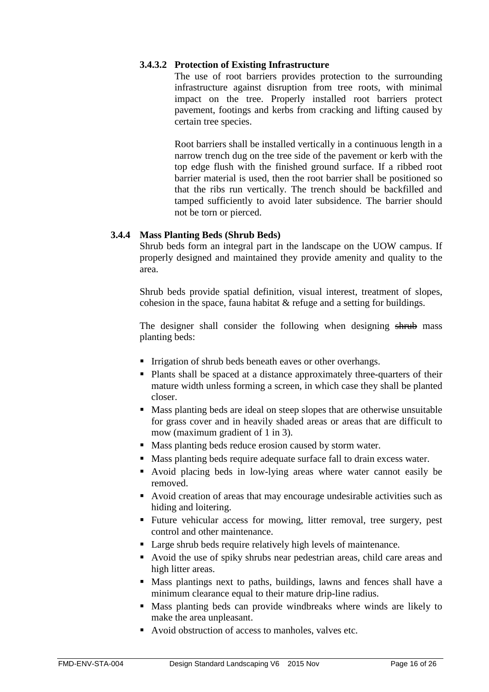## **3.4.3.2 Protection of Existing Infrastructure**

The use of root barriers provides protection to the surrounding infrastructure against disruption from tree roots, with minimal impact on the tree. Properly installed root barriers protect pavement, footings and kerbs from cracking and lifting caused by certain tree species.

Root barriers shall be installed vertically in a continuous length in a narrow trench dug on the tree side of the pavement or kerb with the top edge flush with the finished ground surface. If a ribbed root barrier material is used, then the root barrier shall be positioned so that the ribs run vertically. The trench should be backfilled and tamped sufficiently to avoid later subsidence. The barrier should not be torn or pierced.

## <span id="page-15-0"></span>**3.4.4 Mass Planting Beds (Shrub Beds)**

Shrub beds form an integral part in the landscape on the UOW campus. If properly designed and maintained they provide amenity and quality to the area.

Shrub beds provide spatial definition, visual interest, treatment of slopes, cohesion in the space, fauna habitat & refuge and a setting for buildings.

The designer shall consider the following when designing shrub mass planting beds:

- Irrigation of shrub beds beneath eaves or other overhangs.
- Plants shall be spaced at a distance approximately three-quarters of their mature width unless forming a screen, in which case they shall be planted closer.
- Mass planting beds are ideal on steep slopes that are otherwise unsuitable for grass cover and in heavily shaded areas or areas that are difficult to mow (maximum gradient of 1 in 3).
- Mass planting beds reduce erosion caused by storm water.
- Mass planting beds require adequate surface fall to drain excess water.
- Avoid placing beds in low-lying areas where water cannot easily be removed.
- Avoid creation of areas that may encourage undesirable activities such as hiding and loitering.
- Future vehicular access for mowing, litter removal, tree surgery, pest control and other maintenance.
- Large shrub beds require relatively high levels of maintenance.
- Avoid the use of spiky shrubs near pedestrian areas, child care areas and high litter areas.
- Mass plantings next to paths, buildings, lawns and fences shall have a minimum clearance equal to their mature drip-line radius.
- Mass planting beds can provide windbreaks where winds are likely to make the area unpleasant.
- Avoid obstruction of access to manholes, valves etc.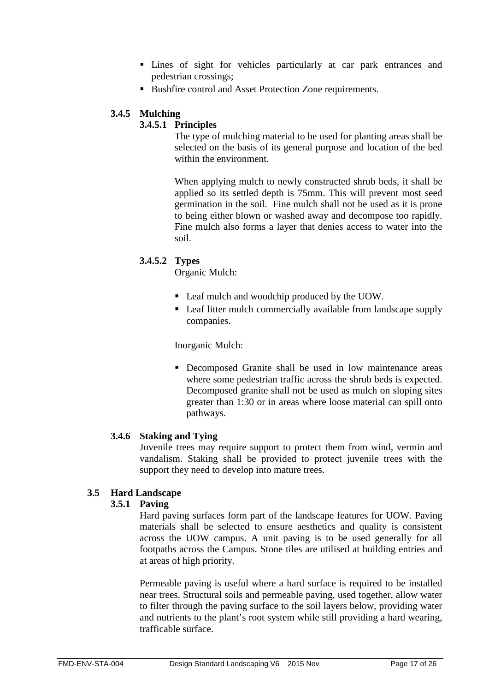- Lines of sight for vehicles particularly at car park entrances and pedestrian crossings;
- Bushfire control and Asset Protection Zone requirements.

## <span id="page-16-0"></span>**3.4.5 Mulching**

## **3.4.5.1 Principles**

The type of mulching material to be used for planting areas shall be selected on the basis of its general purpose and location of the bed within the environment.

When applying mulch to newly constructed shrub beds, it shall be applied so its settled depth is 75mm. This will prevent most seed germination in the soil. Fine mulch shall not be used as it is prone to being either blown or washed away and decompose too rapidly. Fine mulch also forms a layer that denies access to water into the soil.

## **3.4.5.2 Types**

Organic Mulch:

- Leaf mulch and woodchip produced by the UOW.
- Leaf litter mulch commercially available from landscape supply companies.

Inorganic Mulch:

 Decomposed Granite shall be used in low maintenance areas where some pedestrian traffic across the shrub beds is expected. Decomposed granite shall not be used as mulch on sloping sites greater than 1:30 or in areas where loose material can spill onto pathways.

## <span id="page-16-1"></span>**3.4.6 Staking and Tying**

Juvenile trees may require support to protect them from wind, vermin and vandalism. Staking shall be provided to protect juvenile trees with the support they need to develop into mature trees.

## <span id="page-16-3"></span><span id="page-16-2"></span>**3.5 Hard Landscape**

## **3.5.1 Paving**

Hard paving surfaces form part of the landscape features for UOW. Paving materials shall be selected to ensure aesthetics and quality is consistent across the UOW campus. A unit paving is to be used generally for all footpaths across the Campus. Stone tiles are utilised at building entries and at areas of high priority.

Permeable paving is useful where a hard surface is required to be installed near trees. Structural soils and permeable paving, used together, allow water to filter through the paving surface to the soil layers below, providing water and nutrients to the plant's root system while still providing a hard wearing, trafficable surface.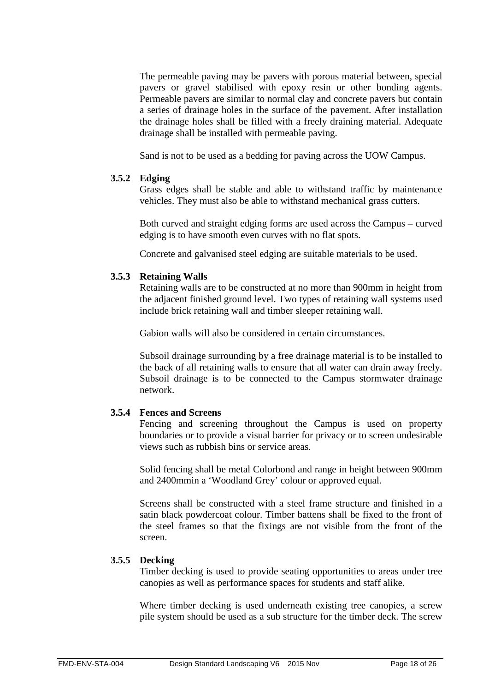The permeable paving may be pavers with porous material between, special pavers or gravel stabilised with epoxy resin or other bonding agents. Permeable pavers are similar to normal clay and concrete pavers but contain a series of drainage holes in the surface of the pavement. After installation the drainage holes shall be filled with a freely draining material. Adequate drainage shall be installed with permeable paving.

Sand is not to be used as a bedding for paving across the UOW Campus.

## <span id="page-17-0"></span>**3.5.2 Edging**

Grass edges shall be stable and able to withstand traffic by maintenance vehicles. They must also be able to withstand mechanical grass cutters.

Both curved and straight edging forms are used across the Campus – curved edging is to have smooth even curves with no flat spots.

Concrete and galvanised steel edging are suitable materials to be used.

## <span id="page-17-1"></span>**3.5.3 Retaining Walls**

Retaining walls are to be constructed at no more than 900mm in height from the adjacent finished ground level. Two types of retaining wall systems used include brick retaining wall and timber sleeper retaining wall.

Gabion walls will also be considered in certain circumstances.

Subsoil drainage surrounding by a free drainage material is to be installed to the back of all retaining walls to ensure that all water can drain away freely. Subsoil drainage is to be connected to the Campus stormwater drainage network.

## <span id="page-17-2"></span>**3.5.4 Fences and Screens**

Fencing and screening throughout the Campus is used on property boundaries or to provide a visual barrier for privacy or to screen undesirable views such as rubbish bins or service areas.

Solid fencing shall be metal Colorbond and range in height between 900mm and 2400mmin a 'Woodland Grey' colour or approved equal.

Screens shall be constructed with a steel frame structure and finished in a satin black powdercoat colour. Timber battens shall be fixed to the front of the steel frames so that the fixings are not visible from the front of the screen.

## <span id="page-17-3"></span>**3.5.5 Decking**

Timber decking is used to provide seating opportunities to areas under tree canopies as well as performance spaces for students and staff alike.

Where timber decking is used underneath existing tree canopies, a screw pile system should be used as a sub structure for the timber deck. The screw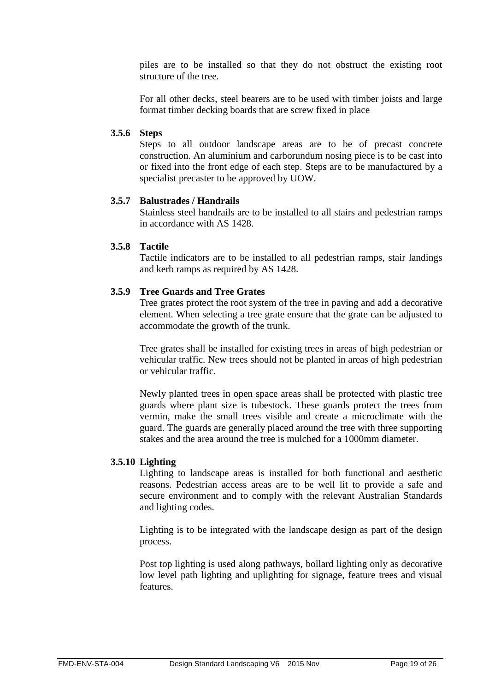piles are to be installed so that they do not obstruct the existing root structure of the tree.

For all other decks, steel bearers are to be used with timber joists and large format timber decking boards that are screw fixed in place

#### <span id="page-18-0"></span>**3.5.6 Steps**

Steps to all outdoor landscape areas are to be of precast concrete construction. An aluminium and carborundum nosing piece is to be cast into or fixed into the front edge of each step. Steps are to be manufactured by a specialist precaster to be approved by UOW.

## <span id="page-18-1"></span>**3.5.7 Balustrades / Handrails**

Stainless steel handrails are to be installed to all stairs and pedestrian ramps in accordance with AS 1428.

## <span id="page-18-2"></span>**3.5.8 Tactile**

Tactile indicators are to be installed to all pedestrian ramps, stair landings and kerb ramps as required by AS 1428.

## <span id="page-18-3"></span>**3.5.9 Tree Guards and Tree Grates**

Tree grates protect the root system of the tree in paving and add a decorative element. When selecting a tree grate ensure that the grate can be adjusted to accommodate the growth of the trunk.

Tree grates shall be installed for existing trees in areas of high pedestrian or vehicular traffic. New trees should not be planted in areas of high pedestrian or vehicular traffic.

Newly planted trees in open space areas shall be protected with plastic tree guards where plant size is tubestock. These guards protect the trees from vermin, make the small trees visible and create a microclimate with the guard. The guards are generally placed around the tree with three supporting stakes and the area around the tree is mulched for a 1000mm diameter.

#### <span id="page-18-4"></span>**3.5.10 Lighting**

Lighting to landscape areas is installed for both functional and aesthetic reasons. Pedestrian access areas are to be well lit to provide a safe and secure environment and to comply with the relevant Australian Standards and lighting codes.

Lighting is to be integrated with the landscape design as part of the design process.

Post top lighting is used along pathways, bollard lighting only as decorative low level path lighting and uplighting for signage, feature trees and visual features.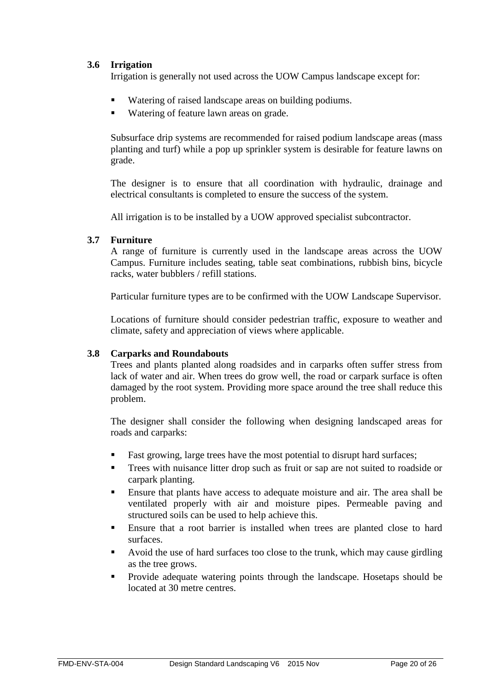## <span id="page-19-0"></span>**3.6 Irrigation**

Irrigation is generally not used across the UOW Campus landscape except for:

- Watering of raised landscape areas on building podiums.
- Watering of feature lawn areas on grade.

Subsurface drip systems are recommended for raised podium landscape areas (mass planting and turf) while a pop up sprinkler system is desirable for feature lawns on grade.

The designer is to ensure that all coordination with hydraulic, drainage and electrical consultants is completed to ensure the success of the system.

All irrigation is to be installed by a UOW approved specialist subcontractor.

## <span id="page-19-1"></span>**3.7 Furniture**

A range of furniture is currently used in the landscape areas across the UOW Campus. Furniture includes seating, table seat combinations, rubbish bins, bicycle racks, water bubblers / refill stations.

Particular furniture types are to be confirmed with the UOW Landscape Supervisor.

Locations of furniture should consider pedestrian traffic, exposure to weather and climate, safety and appreciation of views where applicable.

## <span id="page-19-2"></span>**3.8 Carparks and Roundabouts**

Trees and plants planted along roadsides and in carparks often suffer stress from lack of water and air. When trees do grow well, the road or carpark surface is often damaged by the root system. Providing more space around the tree shall reduce this problem.

The designer shall consider the following when designing landscaped areas for roads and carparks:

- Fast growing, large trees have the most potential to disrupt hard surfaces;
- Trees with nuisance litter drop such as fruit or sap are not suited to roadside or carpark planting.
- Ensure that plants have access to adequate moisture and air. The area shall be ventilated properly with air and moisture pipes. Permeable paving and structured soils can be used to help achieve this.
- Ensure that a root barrier is installed when trees are planted close to hard surfaces.
- Avoid the use of hard surfaces too close to the trunk, which may cause girdling as the tree grows.
- **Provide adequate watering points through the landscape. Hosetaps should be** located at 30 metre centres.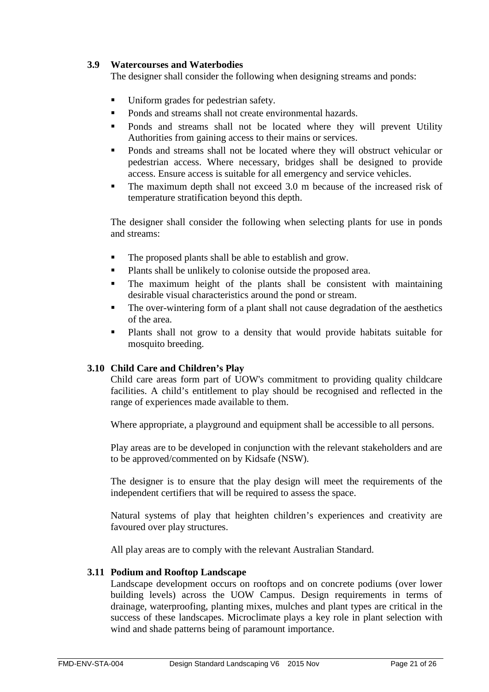## <span id="page-20-0"></span>**3.9 Watercourses and Waterbodies**

The designer shall consider the following when designing streams and ponds:

- Uniform grades for pedestrian safety.
- **Ponds and streams shall not create environmental hazards.**
- Ponds and streams shall not be located where they will prevent Utility Authorities from gaining access to their mains or services.
- **Ponds and streams shall not be located where they will obstruct vehicular or** pedestrian access. Where necessary, bridges shall be designed to provide access. Ensure access is suitable for all emergency and service vehicles.
- The maximum depth shall not exceed 3.0 m because of the increased risk of temperature stratification beyond this depth.

The designer shall consider the following when selecting plants for use in ponds and streams:

- The proposed plants shall be able to establish and grow.
- **Plants shall be unlikely to colonise outside the proposed area.**
- The maximum height of the plants shall be consistent with maintaining desirable visual characteristics around the pond or stream.
- The over-wintering form of a plant shall not cause degradation of the aesthetics of the area.
- Plants shall not grow to a density that would provide habitats suitable for mosquito breeding.

## <span id="page-20-1"></span>**3.10 Child Care and Children's Play**

Child care areas form part of UOW's commitment to providing quality childcare facilities. A child's entitlement to play should be recognised and reflected in the range of experiences made available to them.

Where appropriate, a playground and equipment shall be accessible to all persons.

Play areas are to be developed in conjunction with the relevant stakeholders and are to be approved/commented on by Kidsafe (NSW).

The designer is to ensure that the play design will meet the requirements of the independent certifiers that will be required to assess the space.

Natural systems of play that heighten children's experiences and creativity are favoured over play structures.

All play areas are to comply with the relevant Australian Standard.

## <span id="page-20-2"></span>**3.11 Podium and Rooftop Landscape**

Landscape development occurs on rooftops and on concrete podiums (over lower building levels) across the UOW Campus. Design requirements in terms of drainage, waterproofing, planting mixes, mulches and plant types are critical in the success of these landscapes. Microclimate plays a key role in plant selection with wind and shade patterns being of paramount importance.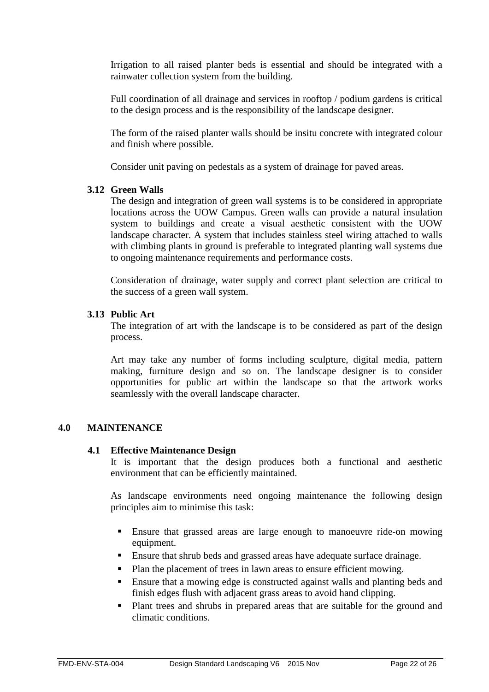Irrigation to all raised planter beds is essential and should be integrated with a rainwater collection system from the building.

Full coordination of all drainage and services in rooftop / podium gardens is critical to the design process and is the responsibility of the landscape designer.

The form of the raised planter walls should be insitu concrete with integrated colour and finish where possible.

Consider unit paving on pedestals as a system of drainage for paved areas.

## <span id="page-21-0"></span>**3.12 Green Walls**

The design and integration of green wall systems is to be considered in appropriate locations across the UOW Campus. Green walls can provide a natural insulation system to buildings and create a visual aesthetic consistent with the UOW landscape character. A system that includes stainless steel wiring attached to walls with climbing plants in ground is preferable to integrated planting wall systems due to ongoing maintenance requirements and performance costs.

Consideration of drainage, water supply and correct plant selection are critical to the success of a green wall system.

## <span id="page-21-1"></span>**3.13 Public Art**

The integration of art with the landscape is to be considered as part of the design process.

Art may take any number of forms including sculpture, digital media, pattern making, furniture design and so on. The landscape designer is to consider opportunities for public art within the landscape so that the artwork works seamlessly with the overall landscape character.

## <span id="page-21-2"></span>**4.0 MAINTENANCE**

#### <span id="page-21-3"></span>**4.1 Effective Maintenance Design**

It is important that the design produces both a functional and aesthetic environment that can be efficiently maintained.

As landscape environments need ongoing maintenance the following design principles aim to minimise this task:

- Ensure that grassed areas are large enough to manoeuvre ride-on mowing equipment.
- Ensure that shrub beds and grassed areas have adequate surface drainage.
- Plan the placement of trees in lawn areas to ensure efficient mowing.
- Ensure that a mowing edge is constructed against walls and planting beds and finish edges flush with adjacent grass areas to avoid hand clipping.
- Plant trees and shrubs in prepared areas that are suitable for the ground and climatic conditions.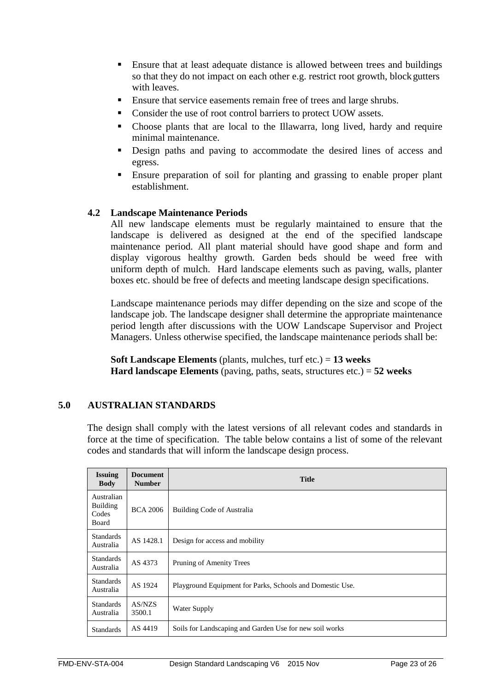- Ensure that at least adequate distance is allowed between trees and buildings so that they do not impact on each other e.g. restrict root growth, block gutters with leaves.
- **Ensure that service easements remain free of trees and large shrubs.**
- Consider the use of root control barriers to protect UOW assets.
- Choose plants that are local to the Illawarra, long lived, hardy and require minimal maintenance.
- Design paths and paving to accommodate the desired lines of access and egress.
- Ensure preparation of soil for planting and grassing to enable proper plant establishment.

## <span id="page-22-0"></span>**4.2 Landscape Maintenance Periods**

All new landscape elements must be regularly maintained to ensure that the landscape is delivered as designed at the end of the specified landscape maintenance period. All plant material should have good shape and form and display vigorous healthy growth. Garden beds should be weed free with uniform depth of mulch. Hard landscape elements such as paving, walls, planter boxes etc. should be free of defects and meeting landscape design specifications.

Landscape maintenance periods may differ depending on the size and scope of the landscape job. The landscape designer shall determine the appropriate maintenance period length after discussions with the UOW Landscape Supervisor and Project Managers. Unless otherwise specified, the landscape maintenance periods shall be:

**Soft Landscape Elements** (plants, mulches, turf etc.) = **13 weeks Hard landscape Elements** (paving, paths, seats, structures etc.) = **52 weeks**

## **5.0 AUSTRALIAN STANDARDS**

<span id="page-22-1"></span>The design shall comply with the latest versions of all relevant codes and standards in force at the time of specification. The table below contains a list of some of the relevant codes and standards that will inform the landscape design process.

| <b>Issuing</b><br><b>Body</b>                   | <b>Document</b><br><b>Number</b> | <b>Title</b>                                              |  |
|-------------------------------------------------|----------------------------------|-----------------------------------------------------------|--|
| Australian<br><b>Building</b><br>Codes<br>Board | <b>BCA 2006</b>                  | Building Code of Australia                                |  |
| <b>Standards</b><br>Australia                   | AS 1428.1                        | Design for access and mobility                            |  |
| <b>Standards</b><br>Australia                   | AS 4373                          | Pruning of Amenity Trees                                  |  |
| <b>Standards</b><br>Australia                   | AS 1924                          | Playground Equipment for Parks, Schools and Domestic Use. |  |
| <b>Standards</b><br>Australia                   | AS/NZS<br>3500.1                 | Water Supply                                              |  |
| <b>Standards</b>                                | AS 4419                          | Soils for Landscaping and Garden Use for new soil works   |  |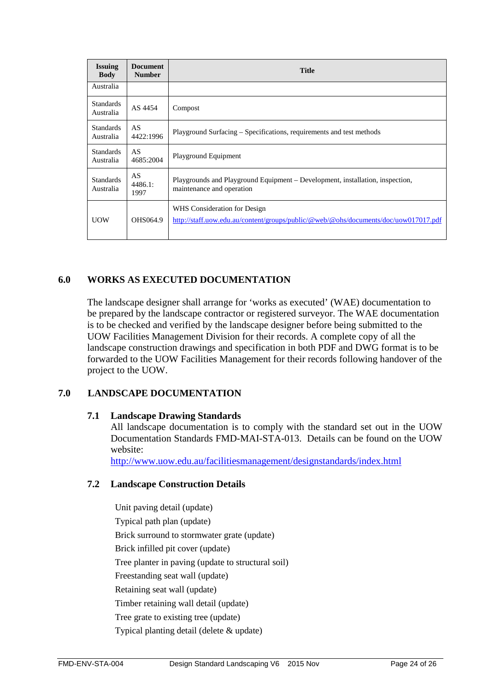| <b>Issuing</b><br><b>Body</b> | <b>Document</b><br><b>Number</b> | <b>Title</b>                                                                                                        |
|-------------------------------|----------------------------------|---------------------------------------------------------------------------------------------------------------------|
| Australia                     |                                  |                                                                                                                     |
| <b>Standards</b><br>Australia | AS 4454                          | Compost                                                                                                             |
| <b>Standards</b><br>Australia | AS<br>4422:1996                  | Playground Surfacing – Specifications, requirements and test methods                                                |
| <b>Standards</b><br>Australia | AS<br>4685:2004                  | Playground Equipment                                                                                                |
| <b>Standards</b><br>Australia | AS<br>4486.1:<br>1997            | Playgrounds and Playground Equipment – Development, installation, inspection,<br>maintenance and operation          |
| <b>UOW</b>                    | OHS064.9                         | WHS Consideration for Design<br>http://staff.uow.edu.au/content/groups/public/@web/@ohs/documents/doc/uow017017.pdf |

## <span id="page-23-0"></span>**6.0 WORKS AS EXECUTED DOCUMENTATION**

The landscape designer shall arrange for 'works as executed' (WAE) documentation to be prepared by the landscape contractor or registered surveyor. The WAE documentation is to be checked and verified by the landscape designer before being submitted to the UOW Facilities Management Division for their records. A complete copy of all the landscape construction drawings and specification in both PDF and DWG format is to be forwarded to the UOW Facilities Management for their records following handover of the project to the UOW.

## <span id="page-23-2"></span>**7.0 LANDSCAPE DOCUMENTATION**

#### <span id="page-23-1"></span>**7.1 Landscape Drawing Standards**

All landscape documentation is to comply with the standard set out in the UOW Documentation Standards FMD-MAI-STA-013. Details can be found on the UOW website:

<http://www.uow.edu.au/facilitiesmanagement/designstandards/index.html>

#### <span id="page-23-3"></span>**7.2 Landscape Construction Details**

Unit paving detail (update) Typical path plan (update) Brick surround to stormwater grate (update) Brick infilled pit cover (update) Tree planter in paving (update to structural soil) Freestanding seat wall (update) Retaining seat wall (update) Timber retaining wall detail (update) Tree grate to existing tree (update) Typical planting detail (delete & update)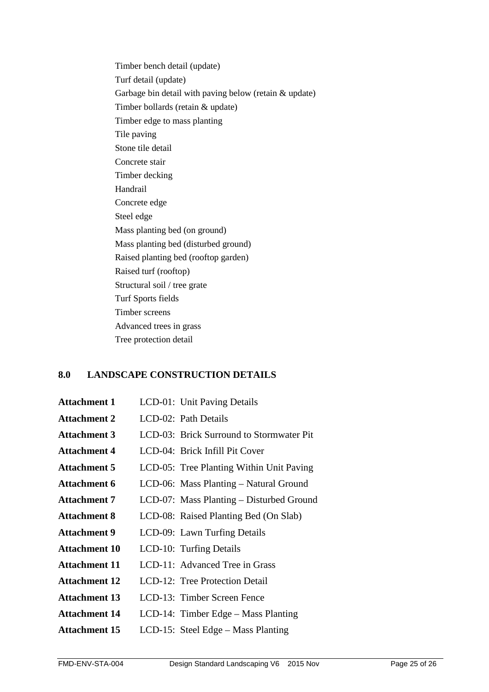Timber bench detail (update) Turf detail (update) Garbage bin detail with paving below (retain & update) Timber bollards (retain & update) Timber edge to mass planting Tile paving Stone tile detail Concrete stair Timber decking Handrail Concrete edge Steel edge Mass planting bed (on ground) Mass planting bed (disturbed ground) Raised planting bed (rooftop garden) Raised turf (rooftop) Structural soil / tree grate Turf Sports fields Timber screens Advanced trees in grass Tree protection detail

## <span id="page-24-0"></span>**8.0 LANDSCAPE CONSTRUCTION DETAILS**

| <b>Attachment 1</b>  | LCD-01: Unit Paving Details              |
|----------------------|------------------------------------------|
| <b>Attachment 2</b>  | LCD-02: Path Details                     |
| <b>Attachment 3</b>  | LCD-03: Brick Surround to Stormwater Pit |
| <b>Attachment 4</b>  | LCD-04: Brick Infill Pit Cover           |
| <b>Attachment 5</b>  | LCD-05: Tree Planting Within Unit Paving |
| <b>Attachment 6</b>  | LCD-06: Mass Planting - Natural Ground   |
| <b>Attachment 7</b>  | LCD-07: Mass Planting - Disturbed Ground |
| <b>Attachment 8</b>  | LCD-08: Raised Planting Bed (On Slab)    |
| <b>Attachment 9</b>  | LCD-09: Lawn Turfing Details             |
| <b>Attachment 10</b> | LCD-10: Turfing Details                  |
| <b>Attachment 11</b> | LCD-11: Advanced Tree in Grass           |
| <b>Attachment 12</b> | LCD-12: Tree Protection Detail           |
| <b>Attachment 13</b> | LCD-13: Timber Screen Fence              |
| <b>Attachment 14</b> | LCD-14: Timber Edge – Mass Planting      |
| <b>Attachment 15</b> | LCD-15: Steel Edge - Mass Planting       |